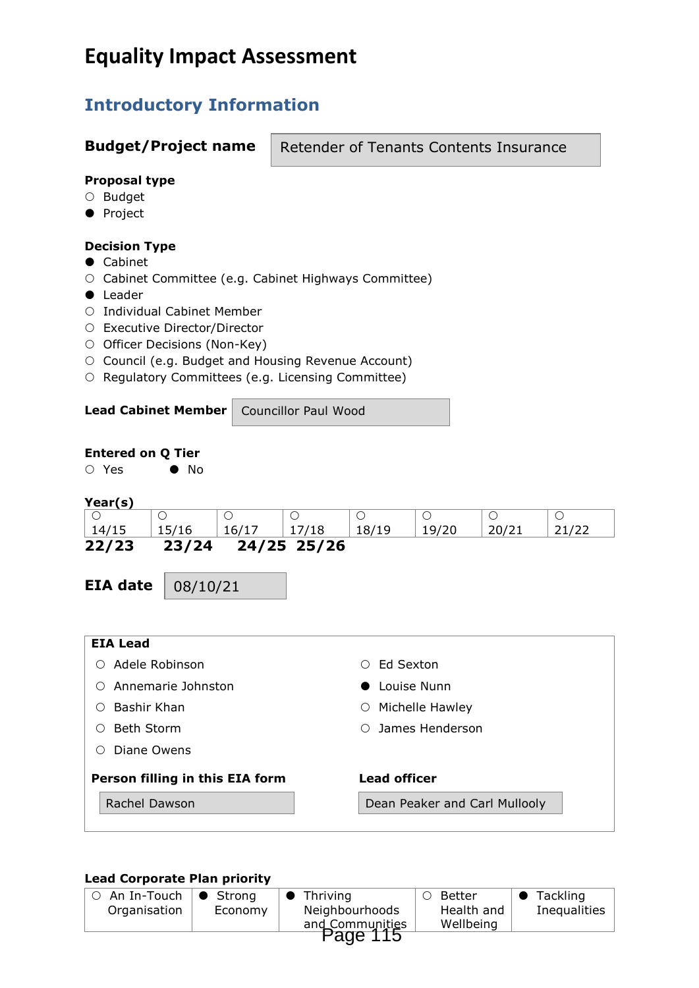# **Equality Impact Assessment**

# **Introductory Information**

## **Budget/Project name**

Retender of Tenants Contents Insurance

#### **Proposal type**

- O Budget
- **•** Project

#### **Decision Type**

- Cabinet
- Cabinet Committee (e.g. Cabinet Highways Committee)
- **•** Leader
- O Individual Cabinet Member
- Executive Director/Director
- O Officer Decisions (Non-Key)
- O Council (e.g. Budget and Housing Revenue Account)
- O Regulatory Committees (e.g. Licensing Committee)

#### **Lead Cabinet Member** Councillor Paul Wood

**Entered on Q Tier**

#### **Year(s)**

○ Yes ● No

| .     |       |       |             |       |       |  |
|-------|-------|-------|-------------|-------|-------|--|
|       |       |       |             |       |       |  |
| 14/15 | 15/16 | 16/17 |             | 18/19 | 19/20 |  |
| 22/23 | 23/24 |       | 24/25 25/26 |       |       |  |

**EIA date**

08/10/21

| <b>EIA Lead</b>                 |                               |
|---------------------------------|-------------------------------|
| Adele Robinson                  | Ed Sexton<br>∩                |
| Annemarie Johnston              | Louise Nunn                   |
| Bashir Khan                     | Michelle Hawley<br>O          |
| <b>Beth Storm</b>               | $\circ$ James Henderson       |
| Diane Owens                     |                               |
| Person filling in this EIA form | <b>Lead officer</b>           |
| Rachel Dawson                   | Dean Peaker and Carl Mullooly |

#### **Lead Corporate Plan priority**

| $\circ$ An In-Touch $\circ$ Strong |         | $\bullet$ Thriving | Better<br>$\circ$       | $\bullet$ Tackling |  |  |
|------------------------------------|---------|--------------------|-------------------------|--------------------|--|--|
| Organisation                       | Economy | Neighbourhoods     | Health and<br>Wellbeing | Inequalities       |  |  |
| and Communities<br>Page 115        |         |                    |                         |                    |  |  |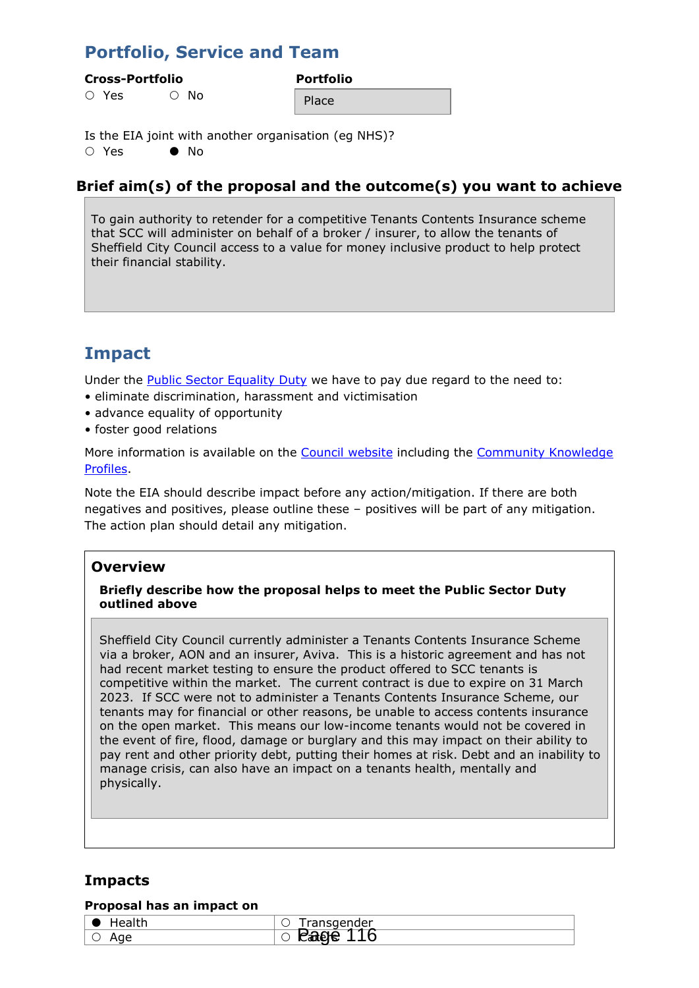# **Portfolio, Service and Team**

#### **Cross-Portfolio Portfolio**

 $\bigcirc$  Yes  $\bigcirc$  No

Place

Is the EIA joint with another organisation (eg NHS)?  $\bigcap$  Yes  $\bigcap$  No.

## **Brief aim(s) of the proposal and the outcome(s) you want to achieve**

To gain authority to retender for a competitive Tenants Contents Insurance scheme that SCC will administer on behalf of a broker / insurer, to allow the tenants of Sheffield City Council access to a value for money inclusive product to help protect their financial stability.

# **Impact**

Under the **Public Sector Equality Duty** we have to pay due regard to the need to:

- eliminate discrimination, harassment and victimisation
- advance equality of opportunity
- foster good relations

More information is available on the [Council website](https://www.sheffield.gov.uk/content/sheffield/home/your-city-council/statutory-equality-duties.html) including the [Community Knowledge](https://www.sheffield.gov.uk/home/your-city-council/sheffield-profile)  [Profiles.](https://www.sheffield.gov.uk/home/your-city-council/sheffield-profile)

Note the EIA should describe impact before any action/mitigation. If there are both negatives and positives, please outline these – positives will be part of any mitigation. The action plan should detail any mitigation.

### **Overview**

#### **Briefly describe how the proposal helps to meet the Public Sector Duty outlined above**

Sheffield City Council currently administer a Tenants Contents Insurance Scheme via a broker, AON and an insurer, Aviva. This is a historic agreement and has not had recent market testing to ensure the product offered to SCC tenants is competitive within the market. The current contract is due to expire on 31 March 2023. If SCC were not to administer a Tenants Contents Insurance Scheme, our tenants may for financial or other reasons, be unable to access contents insurance on the open market. This means our low-income tenants would not be covered in the event of fire, flood, damage or burglary and this may impact on their ability to pay rent and other priority debt, putting their homes at risk. Debt and an inability to manage crisis, can also have an impact on a tenants health, mentally and physically.

## **Impacts**

#### **Proposal has an impact on**

| - 2                 | ınsaender<br>פטווט<br>$\check{ }$ |
|---------------------|-----------------------------------|
| $\sim$ $\sim$<br>лч | -<br>--<br>ີ<br>◡<br>---          |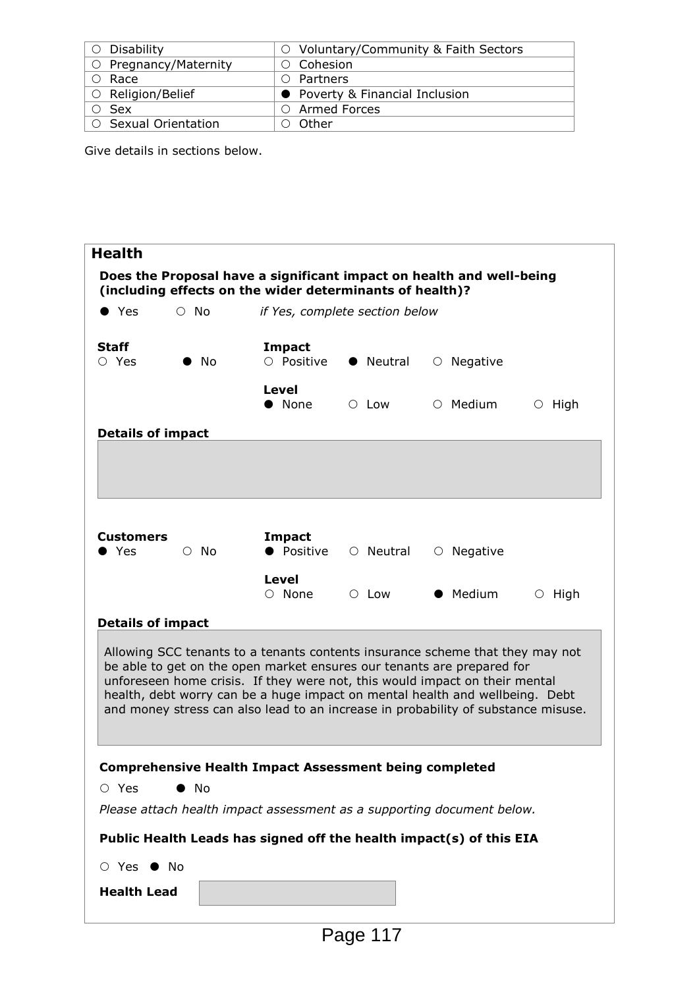| Disability            | ○ Voluntary/Community & Faith Sectors |
|-----------------------|---------------------------------------|
| O Pregnancy/Maternity | $\circ$ Cohesion                      |
| $\circ$ Race          | $\circ$ Partners                      |
| ○ Religion/Belief     | • Poverty & Financial Inclusion       |
| ○ Sex                 | $\circ$ Armed Forces                  |
| ○ Sexual Orientation  | - Other                               |

Give details in sections below.

| <b>Health</b>               |              |                                                          |                 |                                                                                                                                                                                                                                                                                                                                                                                                             |              |
|-----------------------------|--------------|----------------------------------------------------------|-----------------|-------------------------------------------------------------------------------------------------------------------------------------------------------------------------------------------------------------------------------------------------------------------------------------------------------------------------------------------------------------------------------------------------------------|--------------|
|                             |              | (including effects on the wider determinants of health)? |                 | Does the Proposal have a significant impact on health and well-being                                                                                                                                                                                                                                                                                                                                        |              |
| $\bullet$ Yes               | $\circ$ No   | if Yes, complete section below                           |                 |                                                                                                                                                                                                                                                                                                                                                                                                             |              |
| <b>Staff</b><br>$\circ$ Yes | ) No         | <b>Impact</b><br>O Positive                              | • Neutral       | $\circ$ Negative                                                                                                                                                                                                                                                                                                                                                                                            |              |
|                             |              | Level<br>• None                                          | $\circ$ Low     | $\circ$ Medium                                                                                                                                                                                                                                                                                                                                                                                              | $\circ$ High |
| <b>Details of impact</b>    |              |                                                          |                 |                                                                                                                                                                                                                                                                                                                                                                                                             |              |
|                             |              |                                                          |                 |                                                                                                                                                                                                                                                                                                                                                                                                             |              |
|                             |              |                                                          |                 |                                                                                                                                                                                                                                                                                                                                                                                                             |              |
| <b>Customers</b><br>Yes     | $\circ$ No   | <b>Impact</b><br>• Positive                              | $\circ$ Neutral | $\circ$ Negative                                                                                                                                                                                                                                                                                                                                                                                            |              |
|                             |              | Level<br>$\circ$ None                                    | $\circ$ Low     | • Medium                                                                                                                                                                                                                                                                                                                                                                                                    | $\circ$ High |
| <b>Details of impact</b>    |              |                                                          |                 |                                                                                                                                                                                                                                                                                                                                                                                                             |              |
|                             |              |                                                          |                 | Allowing SCC tenants to a tenants contents insurance scheme that they may not<br>be able to get on the open market ensures our tenants are prepared for<br>unforeseen home crisis. If they were not, this would impact on their mental<br>health, debt worry can be a huge impact on mental health and wellbeing. Debt<br>and money stress can also lead to an increase in probability of substance misuse. |              |
|                             |              |                                                          |                 | <b>Comprehensive Health Impact Assessment being completed</b>                                                                                                                                                                                                                                                                                                                                               |              |
| $\circ$ Yes                 | $\bullet$ No |                                                          |                 |                                                                                                                                                                                                                                                                                                                                                                                                             |              |
|                             |              |                                                          |                 | Please attach health impact assessment as a supporting document below.                                                                                                                                                                                                                                                                                                                                      |              |
|                             |              |                                                          |                 | Public Health Leads has signed off the health impact(s) of this EIA                                                                                                                                                                                                                                                                                                                                         |              |
| ○ Yes ● No                  |              |                                                          |                 |                                                                                                                                                                                                                                                                                                                                                                                                             |              |
| <b>Health Lead</b>          |              |                                                          |                 |                                                                                                                                                                                                                                                                                                                                                                                                             |              |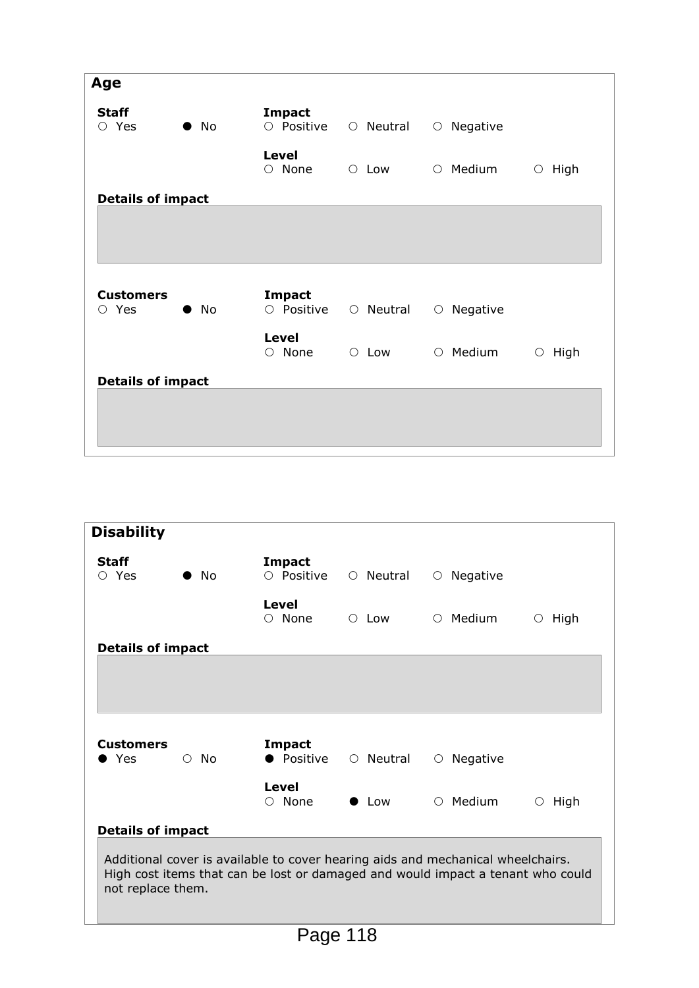| Age                             |              |                              |             |                  |                 |
|---------------------------------|--------------|------------------------------|-------------|------------------|-----------------|
| <b>Staff</b><br>$\circ$ Yes     | $\bullet$ No | Impact<br>O Positive         | ○ Neutral   | $\circ$ Negative |                 |
|                                 |              | <b>Level</b><br>$\circ$ None | $\circ$ Low | $\circ$ Medium   | High<br>$\circ$ |
| <b>Details of impact</b>        |              |                              |             |                  |                 |
|                                 |              |                              |             |                  |                 |
|                                 |              |                              |             |                  |                 |
| <b>Customers</b><br>$\circ$ Yes | $\bullet$ No | <b>Impact</b><br>O Positive  | ○ Neutral   | $\circ$ Negative |                 |
|                                 |              | <b>Level</b><br>$\circ$ None | $\circ$ Low | $\circ$ Medium   | High<br>$\circ$ |
| <b>Details of impact</b>        |              |                              |             |                  |                 |
|                                 |              |                              |             |                  |                 |
|                                 |              |                              |             |                  |                 |

|              | <b>Impact</b>                                                             |                 |                  |                                                                                                                                                                                 |
|--------------|---------------------------------------------------------------------------|-----------------|------------------|---------------------------------------------------------------------------------------------------------------------------------------------------------------------------------|
|              |                                                                           |                 |                  |                                                                                                                                                                                 |
| $\bullet$ No | $\circ$ Positive                                                          | $\circ$ Neutral | $\circ$ Negative |                                                                                                                                                                                 |
|              | Level<br>$\circ$ None                                                     | $\circ$ Low     | $\circ$ Medium   | High<br>$\circ$                                                                                                                                                                 |
|              |                                                                           |                 |                  |                                                                                                                                                                                 |
|              |                                                                           |                 |                  |                                                                                                                                                                                 |
|              |                                                                           |                 |                  |                                                                                                                                                                                 |
|              |                                                                           |                 |                  |                                                                                                                                                                                 |
| $\circ$ No   | Impact<br>• Positive                                                      |                 | $\circ$ Negative |                                                                                                                                                                                 |
|              | Level<br>$\circ$ None                                                     | $\bullet$ Low   | $\circ$ Medium   | High<br>$\circ$                                                                                                                                                                 |
|              |                                                                           |                 |                  |                                                                                                                                                                                 |
|              |                                                                           |                 |                  |                                                                                                                                                                                 |
|              | <b>Details of impact</b><br><b>Details of impact</b><br>not replace them. | $\blacksquare$  | $\overline{110}$ | ○ Neutral<br>Additional cover is available to cover hearing aids and mechanical wheelchairs.<br>High cost items that can be lost or damaged and would impact a tenant who could |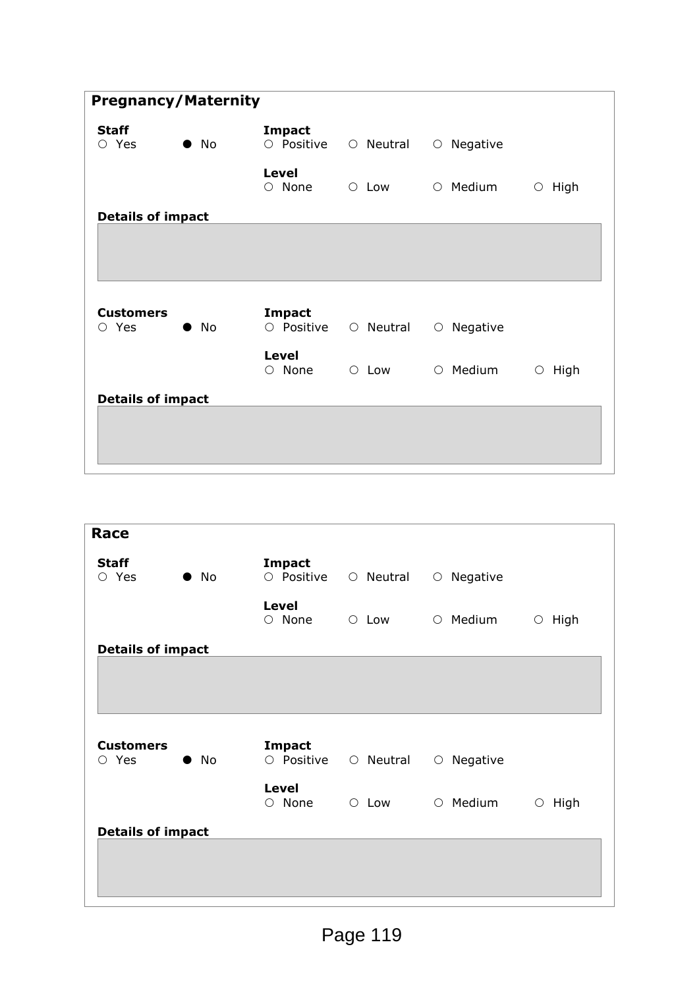| <b>Pregnancy/Maternity</b>            |              |                              |             |                  |                 |
|---------------------------------------|--------------|------------------------------|-------------|------------------|-----------------|
| <b>Staff</b><br>$\circ$ Yes           | $\bullet$ No | <b>Impact</b><br>O Positive  | O Neutral   | $\circ$ Negative |                 |
|                                       |              | Level<br>$\circ$ None        | $\circ$ Low | $\circ$ Medium   | High<br>$\circ$ |
| <b>Details of impact</b>              |              |                              |             |                  |                 |
|                                       |              |                              |             |                  |                 |
| <b>Customers</b><br>Yes<br>$\bigcirc$ | $\bullet$ No | <b>Impact</b><br>O Positive  | O Neutral   | $\circ$ Negative |                 |
|                                       |              | <b>Level</b><br>$\circ$ None | $\circ$ Low | $\circ$ Medium   | High<br>$\circ$ |
| <b>Details of impact</b>              |              |                              |             |                  |                 |
|                                       |              |                              |             |                  |                 |
|                                       |              |                              |             |                  |                 |

| Race                        |              |                              |             |                        |              |
|-----------------------------|--------------|------------------------------|-------------|------------------------|--------------|
| <b>Staff</b><br>$\circ$ Yes | $\bullet$ No | <b>Impact</b><br>O Positive  | ○ Neutral   | $\circ$ Negative       |              |
|                             |              | Level<br>$\circ$ None        | $\circ$ Low | $\circ$ Medium         | $\circ$ High |
| <b>Details of impact</b>    |              |                              |             |                        |              |
|                             |              |                              |             |                        |              |
|                             |              |                              |             |                        |              |
|                             |              |                              |             |                        |              |
| <b>Customers</b>            |              | <b>Impact</b>                |             |                        |              |
| $\circ$ Yes                 | $\bullet$ No | O Positive                   | ○ Neutral   | Negative<br>$\bigcirc$ |              |
|                             |              | <b>Level</b><br>$\circ$ None | $\circ$ Low | $\circ$ Medium         | $\circ$ High |
| <b>Details of impact</b>    |              |                              |             |                        |              |
|                             |              |                              |             |                        |              |
|                             |              |                              |             |                        |              |
|                             |              |                              |             |                        |              |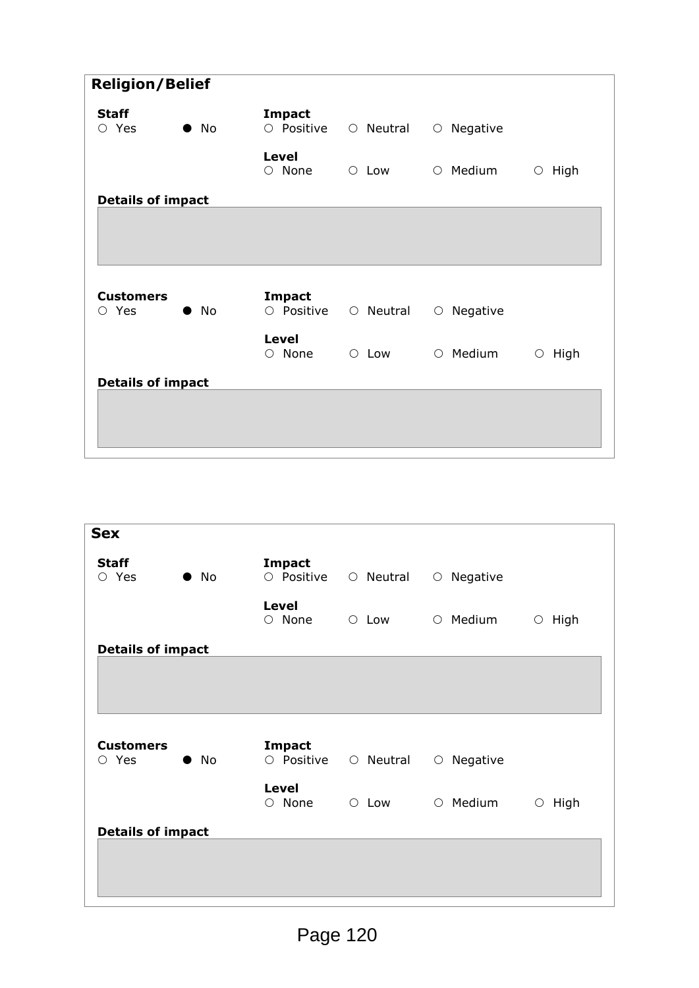| <b>Religion/Belief</b>      |              |                              |             |                  |                 |
|-----------------------------|--------------|------------------------------|-------------|------------------|-----------------|
| <b>Staff</b><br>$\circ$ Yes | $\bullet$ No | <b>Impact</b><br>O Positive  | O Neutral   | $\circ$ Negative |                 |
|                             |              | Level<br>$\circ$ None        | $\circ$ Low | O Medium         | High<br>$\circ$ |
| <b>Details of impact</b>    |              |                              |             |                  |                 |
|                             |              |                              |             |                  |                 |
| <b>Customers</b>            |              | <b>Impact</b>                |             |                  |                 |
| $\circ$ Yes                 | $\bullet$ No | O Positive                   | ○ Neutral   | $\circ$ Negative |                 |
|                             |              | <b>Level</b><br>$\circ$ None | $\circ$ Low | $\circ$ Medium   | High<br>$\circ$ |
| <b>Details of impact</b>    |              |                              |             |                  |                 |
|                             |              |                              |             |                  |                 |

| <b>Sex</b>                  |              |                              |             |                        |                 |
|-----------------------------|--------------|------------------------------|-------------|------------------------|-----------------|
| <b>Staff</b><br>$\circ$ Yes | $\bullet$ No | <b>Impact</b><br>O Positive  | ○ Neutral   | $\circ$ Negative       |                 |
|                             |              | <b>Level</b><br>$\circ$ None | $\circ$ Low | $\circ$ Medium         | High<br>$\circ$ |
| <b>Details of impact</b>    |              |                              |             |                        |                 |
|                             |              |                              |             |                        |                 |
|                             |              |                              |             |                        |                 |
| <b>Customers</b>            |              |                              |             |                        |                 |
| $\circ$ Yes                 | $\bullet$ No | <b>Impact</b><br>O Positive  | O Neutral   | Negative<br>$\bigcirc$ |                 |
|                             |              | <b>Level</b><br>$\circ$ None | $\circ$ Low | $\circ$ Medium         | High<br>$\circ$ |
| <b>Details of impact</b>    |              |                              |             |                        |                 |
|                             |              |                              |             |                        |                 |
|                             |              |                              |             |                        |                 |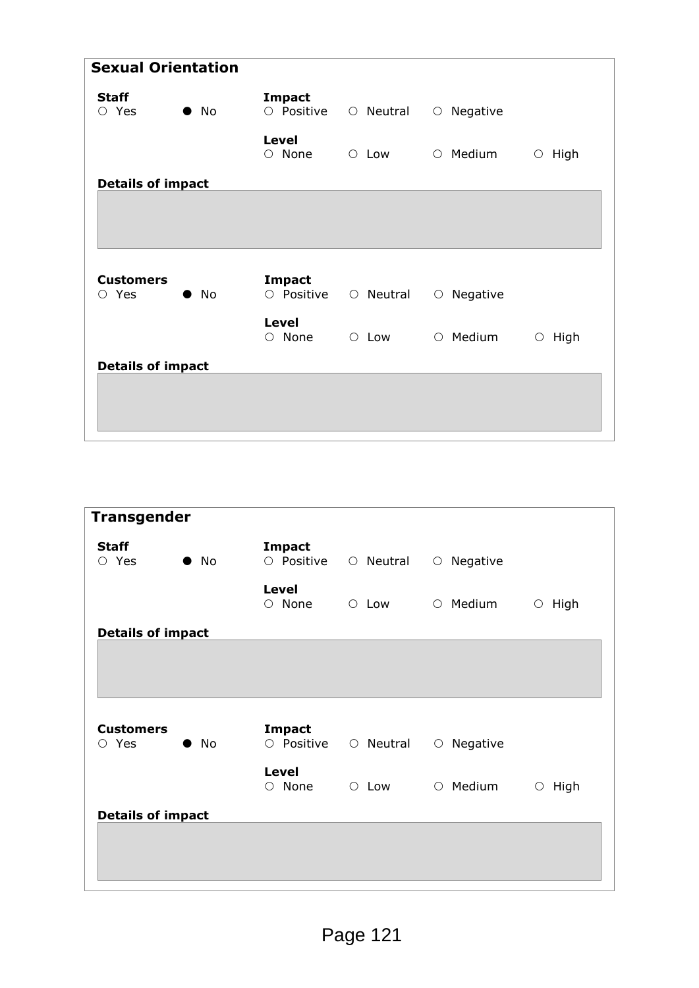| <b>Sexual Orientation</b>             |              |                              |             |                  |                 |
|---------------------------------------|--------------|------------------------------|-------------|------------------|-----------------|
| <b>Staff</b><br>$\circ$ Yes           | $\bullet$ No | <b>Impact</b><br>O Positive  | ○ Neutral   | $\circ$ Negative |                 |
|                                       |              | Level<br>$\circ$ None        | $\circ$ Low | $\circ$ Medium   | High<br>$\circ$ |
| <b>Details of impact</b>              |              |                              |             |                  |                 |
|                                       |              |                              |             |                  |                 |
| <b>Customers</b><br>Yes<br>$\bigcirc$ | $\bullet$ No | <b>Impact</b><br>O Positive  | ○ Neutral   | $\circ$ Negative |                 |
|                                       |              | <b>Level</b><br>$\circ$ None | $\circ$ Low | $\circ$ Medium   | High<br>$\circ$ |
| <b>Details of impact</b>              |              |                              |             |                  |                 |
|                                       |              |                              |             |                  |                 |
|                                       |              |                              |             |                  |                 |

| <b>Transgender</b>          |              |                              |             |                        |                 |
|-----------------------------|--------------|------------------------------|-------------|------------------------|-----------------|
| <b>Staff</b><br>$\circ$ Yes | $\bullet$ No | <b>Impact</b><br>O Positive  | ○ Neutral   | $\circ$ Negative       |                 |
|                             |              | <b>Level</b><br>$\circ$ None | $\circ$ Low | $\circ$ Medium         | High<br>$\circ$ |
| <b>Details of impact</b>    |              |                              |             |                        |                 |
|                             |              |                              |             |                        |                 |
|                             |              |                              |             |                        |                 |
|                             |              |                              |             |                        |                 |
|                             |              |                              |             |                        |                 |
| <b>Customers</b>            |              | <b>Impact</b>                |             |                        |                 |
| $\circ$ Yes                 | $\bullet$ No | O Positive                   | ○ Neutral   | Negative<br>$\bigcirc$ |                 |
|                             |              | <b>Level</b>                 |             |                        |                 |
|                             |              | $\circ$ None                 | $\circ$ Low | $\circ$ Medium         | High<br>$\circ$ |
| <b>Details of impact</b>    |              |                              |             |                        |                 |
|                             |              |                              |             |                        |                 |
|                             |              |                              |             |                        |                 |
|                             |              |                              |             |                        |                 |
|                             |              |                              |             |                        |                 |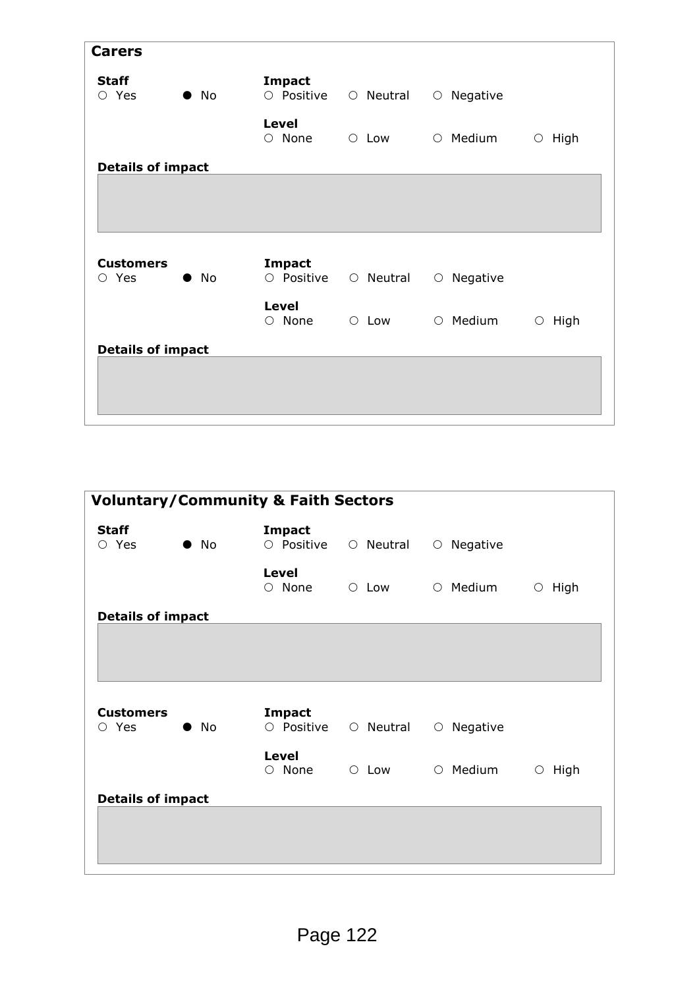| <b>Carers</b>                   |              |                              |             |                  |                    |
|---------------------------------|--------------|------------------------------|-------------|------------------|--------------------|
| <b>Staff</b><br>$\circ$ Yes     | $\bullet$ No | <b>Impact</b><br>O Positive  | O Neutral   | $\circ$ Negative |                    |
|                                 |              | <b>Level</b><br>$\circ$ None | $\circ$ Low | $\circ$ Medium   | High<br>$\bigcirc$ |
| <b>Details of impact</b>        |              |                              |             |                  |                    |
|                                 |              |                              |             |                  |                    |
|                                 |              |                              |             |                  |                    |
|                                 |              |                              |             |                  |                    |
|                                 |              |                              |             |                  |                    |
| <b>Customers</b><br>$\circ$ Yes | $\bullet$ No | <b>Impact</b><br>O Positive  | ○ Neutral   | $\circ$ Negative |                    |
|                                 |              | <b>Level</b><br>$\circ$ None | $\circ$ Low | $\circ$ Medium   | High<br>$\bigcirc$ |
| <b>Details of impact</b>        |              |                              |             |                  |                    |
|                                 |              |                              |             |                  |                    |
|                                 |              |                              |             |                  |                    |

|                             |              | <b>Voluntary/Community &amp; Faith Sectors</b> |             |                        |                    |
|-----------------------------|--------------|------------------------------------------------|-------------|------------------------|--------------------|
| <b>Staff</b><br>$\circ$ Yes | $\bullet$ No | <b>Impact</b><br>O Positive                    | ○ Neutral   | $\circ$ Negative       |                    |
|                             |              | Level<br>$\circ$ None                          | $\circ$ Low | $\circ$ Medium         | High<br>$\circ$    |
| <b>Details of impact</b>    |              |                                                |             |                        |                    |
|                             |              |                                                |             |                        |                    |
|                             |              |                                                |             |                        |                    |
| <b>Customers</b>            |              | <b>Impact</b>                                  |             |                        |                    |
| $\circ$ Yes                 | $\bullet$ No | O Positive                                     | ○ Neutral   | Negative<br>$\bigcirc$ |                    |
|                             |              | Level<br>$\circ$ None                          | $\circ$ Low | $\circ$ Medium         | High<br>$\bigcirc$ |
| <b>Details of impact</b>    |              |                                                |             |                        |                    |
|                             |              |                                                |             |                        |                    |
|                             |              |                                                |             |                        |                    |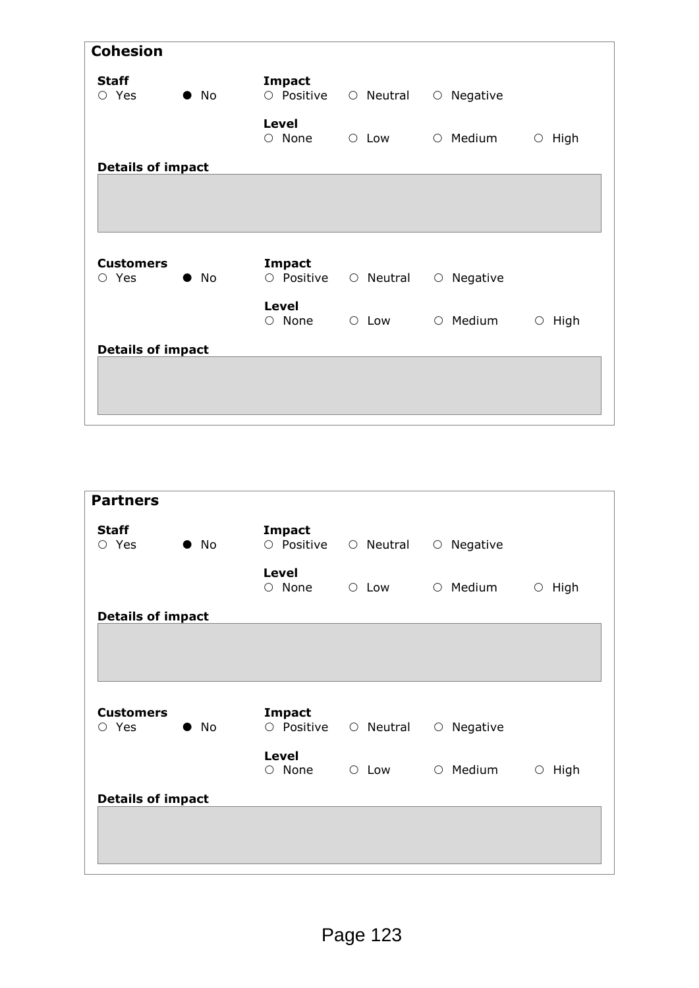| <b>Cohesion</b>                 |              |                              |             |                  |                    |
|---------------------------------|--------------|------------------------------|-------------|------------------|--------------------|
| <b>Staff</b><br>$\circ$ Yes     | $\bullet$ No | <b>Impact</b><br>O Positive  | ○ Neutral   | $\circ$ Negative |                    |
|                                 |              | <b>Level</b><br>$\circ$ None | $\circ$ Low | $\circ$ Medium   | $\circ$ High       |
| <b>Details of impact</b>        |              |                              |             |                  |                    |
|                                 |              |                              |             |                  |                    |
|                                 |              |                              |             |                  |                    |
| <b>Customers</b><br>$\circ$ Yes | $\bullet$ No | <b>Impact</b><br>O Positive  | ○ Neutral   | $\circ$ Negative |                    |
|                                 |              | <b>Level</b><br>$\circ$ None | $\circ$ Low | $\circ$ Medium   | High<br>$\bigcirc$ |
|                                 |              |                              |             |                  |                    |
| <b>Details of impact</b>        |              |                              |             |                  |                    |
|                                 |              |                              |             |                  |                    |
|                                 |              |                              |             |                  |                    |

| <b>Partners</b>             |              |                              |             |                        |                    |
|-----------------------------|--------------|------------------------------|-------------|------------------------|--------------------|
| <b>Staff</b><br>$\circ$ Yes | $\bullet$ No | <b>Impact</b><br>O Positive  | ○ Neutral   | $\circ$ Negative       |                    |
|                             |              | <b>Level</b><br>$\circ$ None | $\circ$ Low | $\circ$ Medium         | High<br>$\circ$    |
| <b>Details of impact</b>    |              |                              |             |                        |                    |
|                             |              |                              |             |                        |                    |
|                             |              |                              |             |                        |                    |
|                             |              |                              |             |                        |                    |
| <b>Customers</b>            |              | <b>Impact</b>                |             |                        |                    |
| $\circ$ Yes                 | $\bullet$ No | O Positive                   | ○ Neutral   | Negative<br>$\bigcirc$ |                    |
|                             |              |                              |             |                        |                    |
|                             |              | <b>Level</b><br>$\circ$ None | $\circ$ Low | $\circ$ Medium         | High<br>$\bigcirc$ |
| <b>Details of impact</b>    |              |                              |             |                        |                    |
|                             |              |                              |             |                        |                    |
|                             |              |                              |             |                        |                    |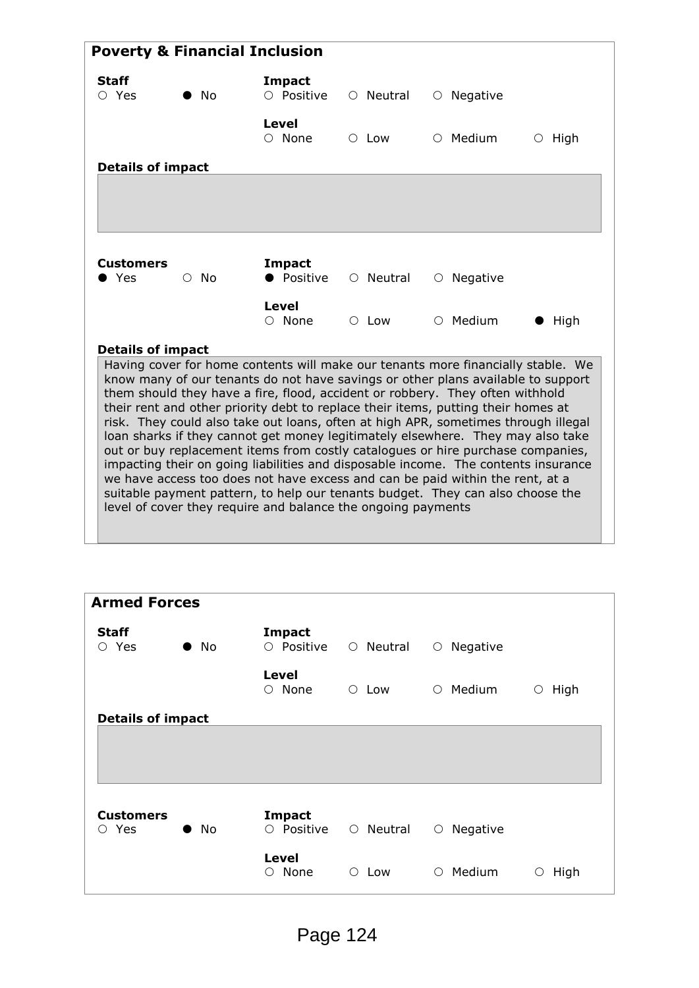|                             |            | <b>Poverty &amp; Financial Inclusion</b>                                                                                                                                                                                                                                                                                                                                                                                                                                                                                                                                                                                                                                                                                                                                                                                                                                                                                        |                 |                  |              |
|-----------------------------|------------|---------------------------------------------------------------------------------------------------------------------------------------------------------------------------------------------------------------------------------------------------------------------------------------------------------------------------------------------------------------------------------------------------------------------------------------------------------------------------------------------------------------------------------------------------------------------------------------------------------------------------------------------------------------------------------------------------------------------------------------------------------------------------------------------------------------------------------------------------------------------------------------------------------------------------------|-----------------|------------------|--------------|
| <b>Staff</b><br>$\circ$ Yes | - No       | <b>Impact</b><br>$\circ$ Positive                                                                                                                                                                                                                                                                                                                                                                                                                                                                                                                                                                                                                                                                                                                                                                                                                                                                                               | $\circ$ Neutral | $\circ$ Negative |              |
|                             |            | Level<br>$\circ$ None                                                                                                                                                                                                                                                                                                                                                                                                                                                                                                                                                                                                                                                                                                                                                                                                                                                                                                           | $\circ$ Low     | $\circ$ Medium   | $\circ$ High |
| <b>Details of impact</b>    |            |                                                                                                                                                                                                                                                                                                                                                                                                                                                                                                                                                                                                                                                                                                                                                                                                                                                                                                                                 |                 |                  |              |
|                             |            |                                                                                                                                                                                                                                                                                                                                                                                                                                                                                                                                                                                                                                                                                                                                                                                                                                                                                                                                 |                 |                  |              |
|                             |            |                                                                                                                                                                                                                                                                                                                                                                                                                                                                                                                                                                                                                                                                                                                                                                                                                                                                                                                                 |                 |                  |              |
|                             |            |                                                                                                                                                                                                                                                                                                                                                                                                                                                                                                                                                                                                                                                                                                                                                                                                                                                                                                                                 |                 |                  |              |
| <b>Customers</b>            |            | Impact                                                                                                                                                                                                                                                                                                                                                                                                                                                                                                                                                                                                                                                                                                                                                                                                                                                                                                                          |                 |                  |              |
| Yes                         | $\circ$ No | • Positive                                                                                                                                                                                                                                                                                                                                                                                                                                                                                                                                                                                                                                                                                                                                                                                                                                                                                                                      | $\circ$ Neutral | $\circ$ Negative |              |
|                             |            | Level<br>$\circ$ None                                                                                                                                                                                                                                                                                                                                                                                                                                                                                                                                                                                                                                                                                                                                                                                                                                                                                                           | $\circ$ Low     | $\circ$ Medium   | High         |
| <b>Details of impact</b>    |            |                                                                                                                                                                                                                                                                                                                                                                                                                                                                                                                                                                                                                                                                                                                                                                                                                                                                                                                                 |                 |                  |              |
|                             |            | Having cover for home contents will make our tenants more financially stable. We<br>know many of our tenants do not have savings or other plans available to support<br>them should they have a fire, flood, accident or robbery. They often withhold<br>their rent and other priority debt to replace their items, putting their homes at<br>risk. They could also take out loans, often at high APR, sometimes through illegal<br>loan sharks if they cannot get money legitimately elsewhere. They may also take<br>out or buy replacement items from costly catalogues or hire purchase companies,<br>impacting their on going liabilities and disposable income. The contents insurance<br>we have access too does not have excess and can be paid within the rent, at a<br>suitable payment pattern, to help our tenants budget. They can also choose the<br>level of cover they require and balance the ongoing payments |                 |                  |              |

| <b>Armed Forces</b>                   |              |                                    |                 |                        |           |
|---------------------------------------|--------------|------------------------------------|-----------------|------------------------|-----------|
| <b>Staff</b><br>$\circ$ Yes           | $\bullet$ No | <b>Impact</b><br>O Positive        | $\circ$ Neutral | Negative<br>$\bigcirc$ |           |
|                                       |              | <b>Level</b><br>None<br>$\bigcirc$ | $\circ$ Low     | $\circ$ Medium         | High<br>O |
| <b>Details of impact</b>              |              |                                    |                 |                        |           |
|                                       |              |                                    |                 |                        |           |
|                                       |              |                                    |                 |                        |           |
| <b>Customers</b><br>Yes<br>$\bigcirc$ | $\bullet$ No | <b>Impact</b><br>O Positive        | $\circ$ Neutral | Negative<br>$\circ$    |           |
|                                       |              | <b>Level</b><br>None<br>$\circ$    | $\circ$ Low     | $\circ$ Medium         | High<br>О |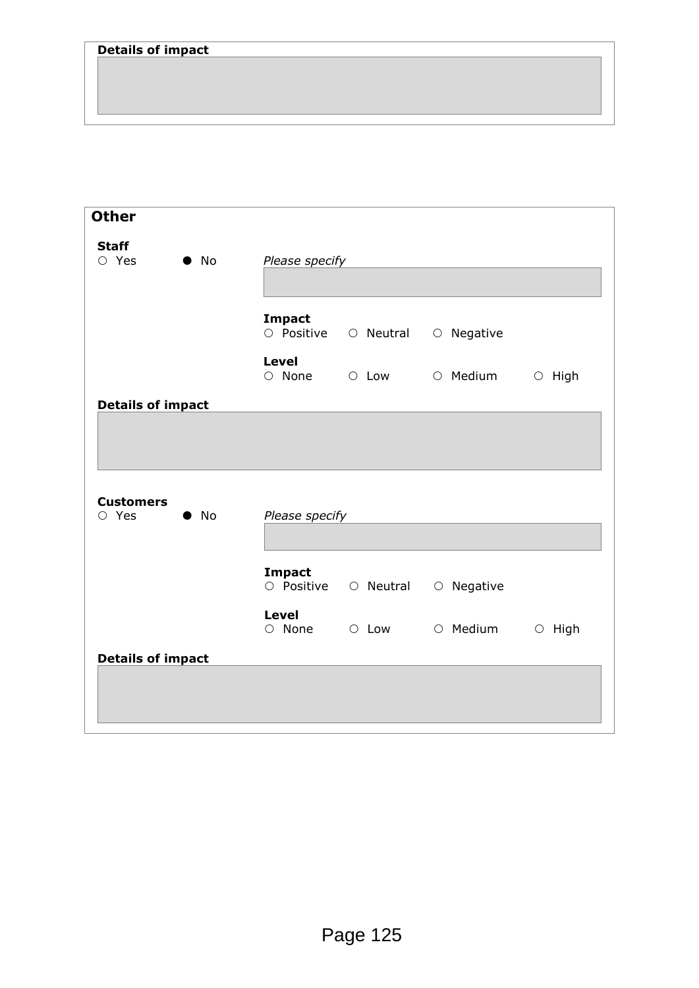| <b>Other</b>                    |              |                              |                                 |              |
|---------------------------------|--------------|------------------------------|---------------------------------|--------------|
| <b>Staff</b><br>$O$ Yes         | $\bullet$ No | Please specify               |                                 |              |
|                                 |              | <b>Impact</b>                | O Positive O Neutral O Negative |              |
|                                 |              | <b>Level</b>                 | O None O Low O Medium           | $\circ$ High |
| <b>Details of impact</b>        |              |                              |                                 |              |
|                                 |              |                              |                                 |              |
| <b>Customers</b><br>$\circ$ Yes | $\bullet$ No | Please specify               |                                 |              |
|                                 |              | <b>Impact</b><br>O Positive  | ○ Neutral ○ Negative            |              |
|                                 |              | <b>Level</b><br>$\circ$ None | O Low O Medium                  | $\circ$ High |
| <b>Details of impact</b>        |              |                              |                                 |              |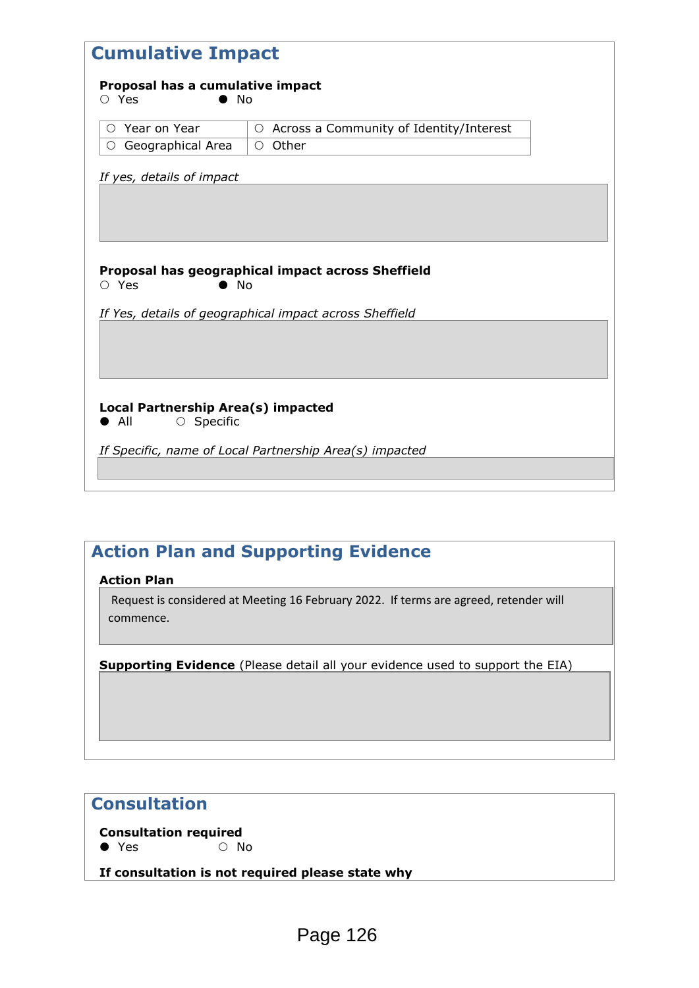| <b>Cumulative Impact</b>                                                |                                                         |  |  |  |
|-------------------------------------------------------------------------|---------------------------------------------------------|--|--|--|
| Proposal has a cumulative impact<br>No<br>○ Yes                         |                                                         |  |  |  |
| $\circ$ Year on Year                                                    | ○ Across a Community of Identity/Interest               |  |  |  |
| ○ Geographical Area                                                     | $\circ$ Other                                           |  |  |  |
| If yes, details of impact                                               |                                                         |  |  |  |
|                                                                         |                                                         |  |  |  |
|                                                                         |                                                         |  |  |  |
|                                                                         |                                                         |  |  |  |
| $\circ$ Yes<br>$\bullet$ No                                             | Proposal has geographical impact across Sheffield       |  |  |  |
|                                                                         | If Yes, details of geographical impact across Sheffield |  |  |  |
|                                                                         |                                                         |  |  |  |
|                                                                         |                                                         |  |  |  |
|                                                                         |                                                         |  |  |  |
| Local Partnership Area(s) impacted<br>$\bullet$ All<br>$\circ$ Specific |                                                         |  |  |  |
|                                                                         | If Specific, name of Local Partnership Area(s) impacted |  |  |  |
|                                                                         |                                                         |  |  |  |
|                                                                         |                                                         |  |  |  |

# **Action Plan and Supporting Evidence**

**Action Plan**

Request is considered at Meeting 16 February 2022. If terms are agreed, retender will commence.

**Supporting Evidence** (Please detail all your evidence used to support the EIA)

# **Consultation**

**Consultation required**  $\bullet$  Yes  $\circ$  No

**If consultation is not required please state why**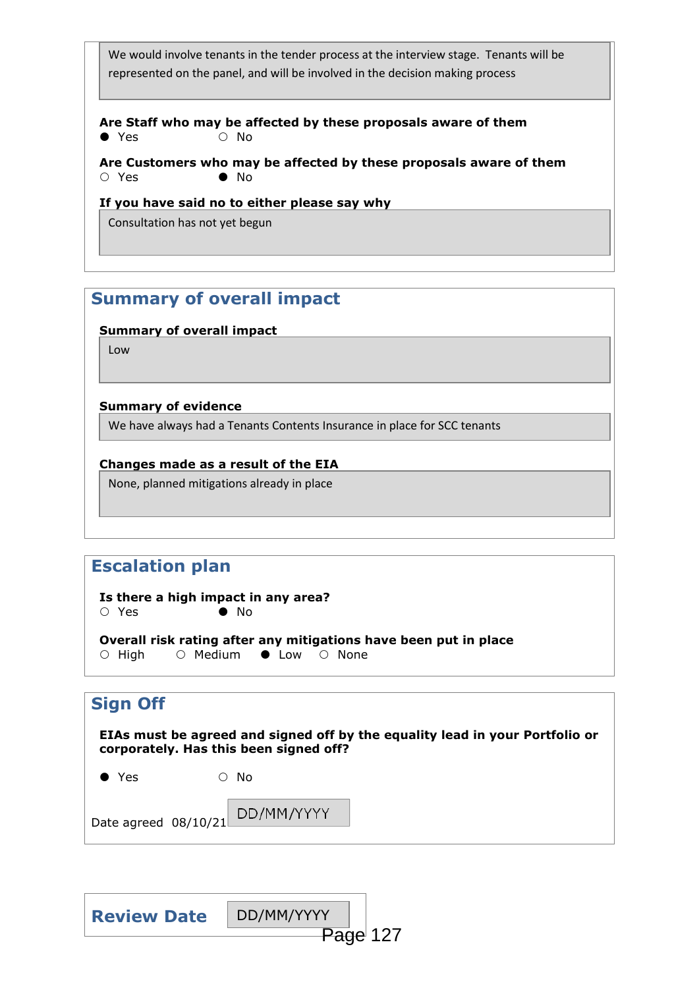We would involve tenants in the tender process at the interview stage. Tenants will be represented on the panel, and will be involved in the decision making process

**Are Staff who may be affected by these proposals aware of them**  $\bullet$  Yes  $\circ$  No

**Are Customers who may be affected by these proposals aware of them**  $\circ$  Yes  $\bullet$  No

**If you have said no to either please say why**

Consultation has not yet begun

## **Summary of overall impact**

**Summary of overall impact**

Low

#### **Summary of evidence**

We have always had a Tenants Contents Insurance in place for SCC tenants

#### **Changes made as a result of the EIA**

None, planned mitigations already in place

# **Escalation plan**

**Is there a high impact in any area?**  ○ Yes ● No

**Overall risk rating after any mitigations have been put in place**  $\circ$  High  $\circ$  Medium  $\bullet$  Low  $\circ$  None

DD/MM/YYYY

## **Sign Off**

**EIAs must be agreed and signed off by the equality lead in your Portfolio or corporately. Has this been signed off?** 

| $\bullet$ Yes | $\circ$ No |  |
|---------------|------------|--|
|               |            |  |

Date agreed 08/10/21

| <b>Review Date</b> | DD/MM/YYYY |          |
|--------------------|------------|----------|
|                    |            | Page 127 |